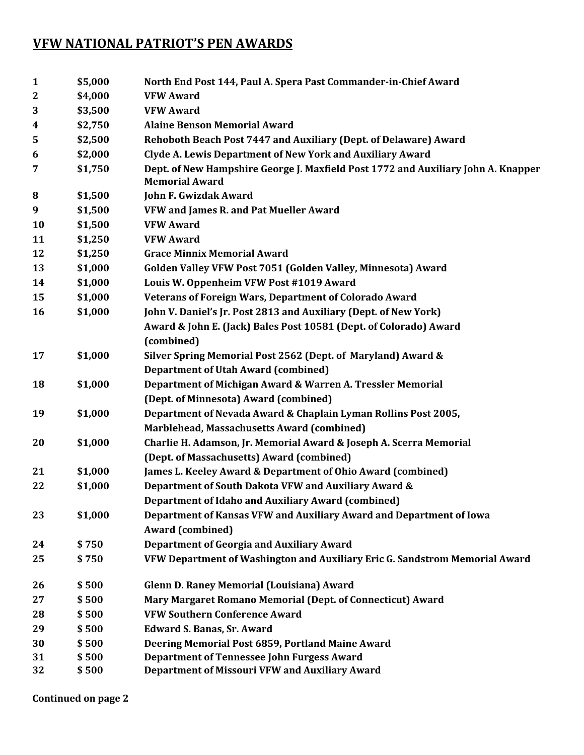## **VFW NATIONAL PATRIOT'S PEN AWARDS**

| $\mathbf{1}$     | \$5,000 | North End Post 144, Paul A. Spera Past Commander-in-Chief Award                                            |
|------------------|---------|------------------------------------------------------------------------------------------------------------|
| $\boldsymbol{2}$ | \$4,000 | <b>VFW Award</b>                                                                                           |
| 3                | \$3,500 | <b>VFW Award</b>                                                                                           |
| 4                | \$2,750 | <b>Alaine Benson Memorial Award</b>                                                                        |
| 5                | \$2,500 | Rehoboth Beach Post 7447 and Auxiliary (Dept. of Delaware) Award                                           |
| 6                | \$2,000 | Clyde A. Lewis Department of New York and Auxiliary Award                                                  |
| 7                | \$1,750 | Dept. of New Hampshire George J. Maxfield Post 1772 and Auxiliary John A. Knapper<br><b>Memorial Award</b> |
| 8                | \$1,500 | <b>John F. Gwizdak Award</b>                                                                               |
| 9                | \$1,500 | VFW and James R. and Pat Mueller Award                                                                     |
| 10               | \$1,500 | <b>VFW Award</b>                                                                                           |
| 11               | \$1,250 | <b>VFW Award</b>                                                                                           |
| 12               | \$1,250 | <b>Grace Minnix Memorial Award</b>                                                                         |
| 13               | \$1,000 | Golden Valley VFW Post 7051 (Golden Valley, Minnesota) Award                                               |
| 14               | \$1,000 | Louis W. Oppenheim VFW Post #1019 Award                                                                    |
| 15               | \$1,000 | Veterans of Foreign Wars, Department of Colorado Award                                                     |
| 16               | \$1,000 | John V. Daniel's Jr. Post 2813 and Auxiliary (Dept. of New York)                                           |
|                  |         | Award & John E. (Jack) Bales Post 10581 (Dept. of Colorado) Award                                          |
|                  |         | (combined)                                                                                                 |
| 17               | \$1,000 | Silver Spring Memorial Post 2562 (Dept. of Maryland) Award &                                               |
|                  |         | <b>Department of Utah Award (combined)</b>                                                                 |
| 18               | \$1,000 | Department of Michigan Award & Warren A. Tressler Memorial                                                 |
|                  |         | (Dept. of Minnesota) Award (combined)                                                                      |
| 19               | \$1,000 | Department of Nevada Award & Chaplain Lyman Rollins Post 2005,                                             |
|                  |         | Marblehead, Massachusetts Award (combined)                                                                 |
| 20               | \$1,000 | Charlie H. Adamson, Jr. Memorial Award & Joseph A. Scerra Memorial                                         |
|                  |         | (Dept. of Massachusetts) Award (combined)                                                                  |
| 21               | \$1,000 | James L. Keeley Award & Department of Ohio Award (combined)                                                |
| 22               | \$1,000 | Department of South Dakota VFW and Auxiliary Award &                                                       |
|                  |         | Department of Idaho and Auxiliary Award (combined)                                                         |
| 23               | \$1,000 | Department of Kansas VFW and Auxiliary Award and Department of Iowa                                        |
|                  |         | <b>Award (combined)</b>                                                                                    |
| 24               | \$750   | <b>Department of Georgia and Auxiliary Award</b>                                                           |
| 25               | \$750   | VFW Department of Washington and Auxiliary Eric G. Sandstrom Memorial Award                                |
| 26               | \$500   | <b>Glenn D. Raney Memorial (Louisiana) Award</b>                                                           |
| 27               | \$500   | Mary Margaret Romano Memorial (Dept. of Connecticut) Award                                                 |
| 28               | \$500   | <b>VFW Southern Conference Award</b>                                                                       |
| 29               | \$500   | <b>Edward S. Banas, Sr. Award</b>                                                                          |
| 30               | \$500   | Deering Memorial Post 6859, Portland Maine Award                                                           |
| 31               | \$500   | <b>Department of Tennessee John Furgess Award</b>                                                          |
| 32               | \$500   | Department of Missouri VFW and Auxiliary Award                                                             |
|                  |         |                                                                                                            |

**Continued on page 2**